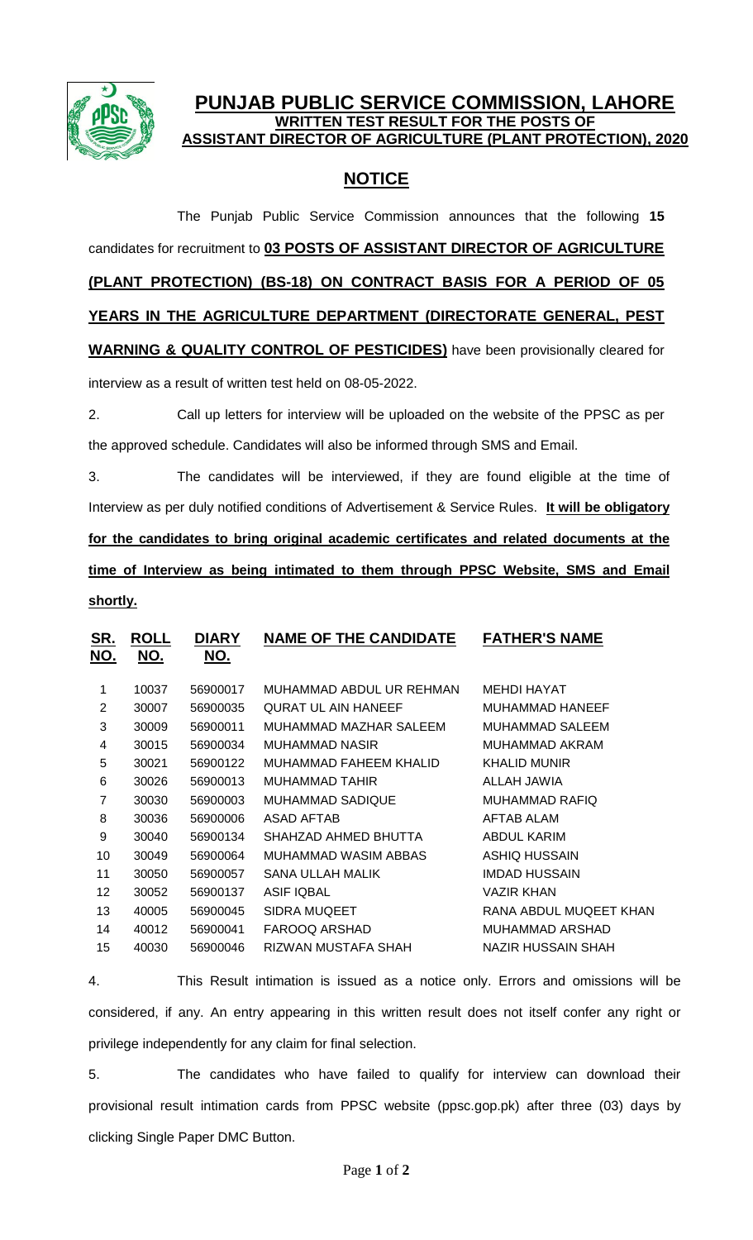

## **PUNJAB PUBLIC SERVICE COMMISSION, LAHORE WRITTEN TEST RESULT FOR THE POSTS OF ASSISTANT DIRECTOR OF AGRICULTURE (PLANT PROTECTION), 2020**

## **NOTICE**

The Punjab Public Service Commission announces that the following **15** candidates for recruitment to **03 POSTS OF ASSISTANT DIRECTOR OF AGRICULTURE (PLANT PROTECTION) (BS-18) ON CONTRACT BASIS FOR A PERIOD OF 05 YEARS IN THE AGRICULTURE DEPARTMENT (DIRECTORATE GENERAL, PEST WARNING & QUALITY CONTROL OF PESTICIDES)** have been provisionally cleared for interview as a result of written test held on 08-05-2022.

2. Call up letters for interview will be uploaded on the website of the PPSC as per the approved schedule. Candidates will also be informed through SMS and Email.

3. The candidates will be interviewed, if they are found eligible at the time of Interview as per duly notified conditions of Advertisement & Service Rules. **It will be obligatory for the candidates to bring original academic certificates and related documents at the time of Interview as being intimated to them through PPSC Website, SMS and Email shortly.**

| SR.<br>NO.     | <b>ROLL</b><br>NO. | <b>DIARY</b><br>NO. | <b>NAME OF THE CANDIDATE</b> | <b>FATHER'S NAME</b>   |
|----------------|--------------------|---------------------|------------------------------|------------------------|
| 1              | 10037              | 56900017            | MUHAMMAD ABDUL UR REHMAN     | MEHDI HAYAT            |
| 2              | 30007              | 56900035            | <b>QURAT UL AIN HANEEF</b>   | MUHAMMAD HANEEF        |
| 3              | 30009              | 56900011            | MUHAMMAD MAZHAR SALEEM       | MUHAMMAD SALEEM        |
| 4              | 30015              | 56900034            | MUHAMMAD NASIR               | MUHAMMAD AKRAM         |
| 5              | 30021              | 56900122            | MUHAMMAD FAHEEM KHALID       | <b>KHALID MUNIR</b>    |
| 6              | 30026              | 56900013            | <b>MUHAMMAD TAHIR</b>        | ALLAH JAWIA            |
| $\overline{7}$ | 30030              | 56900003            | <b>MUHAMMAD SADIQUE</b>      | <b>MUHAMMAD RAFIQ</b>  |
| 8              | 30036              | 56900006            | <b>ASAD AFTAB</b>            | AFTAB ALAM             |
| 9              | 30040              | 56900134            | SHAHZAD AHMED BHUTTA         | <b>ABDUL KARIM</b>     |
| 10             | 30049              | 56900064            | MUHAMMAD WASIM ABBAS         | ASHIQ HUSSAIN          |
| 11             | 30050              | 56900057            | SANA ULLAH MALIK             | <b>IMDAD HUSSAIN</b>   |
| 12             | 30052              | 56900137            | <b>ASIF IQBAL</b>            | <b>VAZIR KHAN</b>      |
| 13             | 40005              | 56900045            | SIDRA MUQEET                 | RANA ABDUL MUQEET KHAN |
| 14             | 40012              | 56900041            | FAROOQ ARSHAD                | MUHAMMAD ARSHAD        |
| 15             | 40030              | 56900046            | RIZWAN MUSTAFA SHAH          | NAZIR HUSSAIN SHAH     |

4. This Result intimation is issued as a notice only. Errors and omissions will be considered, if any. An entry appearing in this written result does not itself confer any right or privilege independently for any claim for final selection.

5. The candidates who have failed to qualify for interview can download their provisional result intimation cards from PPSC website (ppsc.gop.pk) after three (03) days by clicking Single Paper DMC Button.